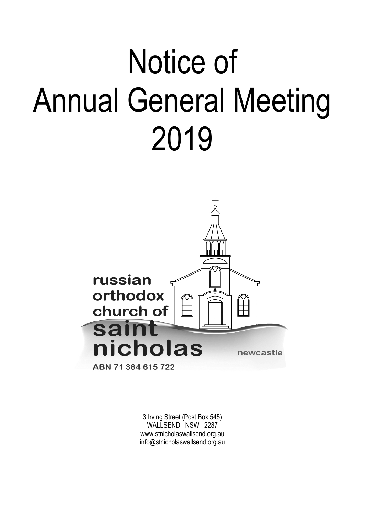# Notice of Annual General Meeting 2019



3 Irving Street (Post Box 545) WALLSEND NSW 2287 www.stnicholaswallsend.org.au info@stnicholaswallsend.org.au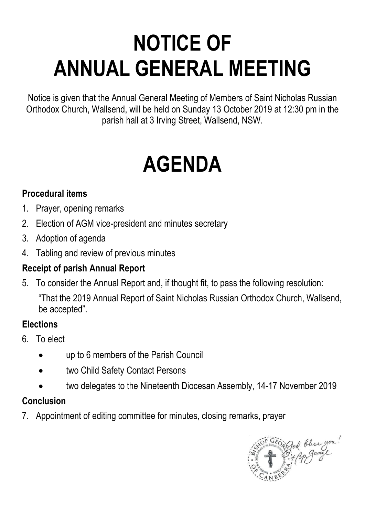# **NOTICE OF ANNUAL GENERAL MEETING**

Notice is given that the Annual General Meeting of Members of Saint Nicholas Russian Orthodox Church, Wallsend, will be held on Sunday 13 October 2019 at 12:30 pm in the parish hall at 3 Irving Street, Wallsend, NSW.

# **AGENDA**

### **Procedural items**

- 1. Prayer, opening remarks
- 2. Election of AGM vice-president and minutes secretary
- 3. Adoption of agenda
- 4. Tabling and review of previous minutes

# **Receipt of parish Annual Report**

5. To consider the Annual Report and, if thought fit, to pass the following resolution: "That the 2019 Annual Report of Saint Nicholas Russian Orthodox Church, Wallsend, be accepted".

### **Elections**

- 6. To elect
	- up to 6 members of the Parish Council
	- two Child Safety Contact Persons
	- two delegates to the Nineteenth Diocesan Assembly, 14-17 November 2019

# **Conclusion**

7. Appointment of editing committee for minutes, closing remarks, prayer

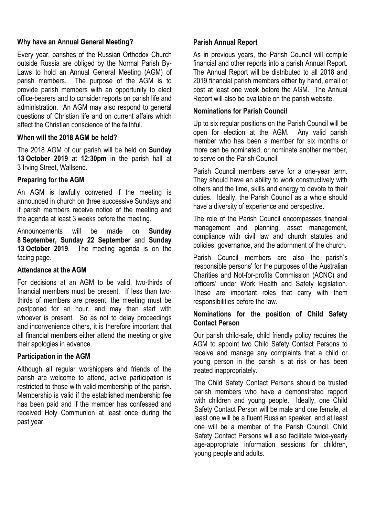#### **Why have an Annual General Meeting?**

Every year, parishes of the Russian Orthodox Church outside Russia are obliged by the Normal Parish By-Laws to hold an Annual General Meeting (AGM) of parish members. The purpose of the AGM is to provide parish members with an opportunity to elect office-bearers and to consider reports on parish life and administration. An AGM may also respond to general questions of Christian life and on current affairs which affect the Christian conscience of the faithful.

#### **When will the 2018 AGM be held?**

The 2018 AGM of our parish will be held on **Sunday 13 October 2019** at **12:30pm** in the parish hall at 3 Irving Street, Wallsend.

#### **Preparing for the AGM**

An AGM is lawfully convened if the meeting is announced in church on three successive Sundays and if parish members receive notice of the meeting and the agenda at least 3 weeks before the meeting.

Announcements will be made on **Sunday 8 September, Sunday 22 September** and **Sunday 13 October 2019**. The meeting agenda is on the facing page.

#### **Attendance at the AGM**

For decisions at an AGM to be valid, two-thirds of financial members must be present. If less than twothirds of members are present, the meeting must be postponed for an hour, and may then start with whoever is present. So as not to delay proceedings and inconvenience others, it is therefore important that all financial members either attend the meeting or give their apologies in advance.

#### **Participation in the AGM**

Although all regular worshippers and friends of the parish are welcome to attend, active participation is restricted to those with valid membership of the parish. Membership is valid if the established membership fee has been paid and if the member has confessed and received Holy Communion at least once during the past year.

#### **Parish Annual Report**

As in previous years, the Parish Council will compile financial and other reports into a parish Annual Report. The Annual Report will be distributed to all 2018 and 2019 financial parish members either by hand, email or post at least one week before the AGM. The Annual Report will also be available on the parish website.

#### **Nominations for Parish Council**

Up to six regular positions on the Parish Council will be open for election at the AGM. Any valid parish member who has been a member for six months or more can be nominated, or nominate another member, to serve on the Parish Council.

Parish Council members serve for a one-year term. They should have an ability to work constructively with others and the time, skills and energy to devote to their duties. Ideally, the Parish Council as a whole should have a diversity of experience and perspective.

The role of the Parish Council encompasses financial management and planning, asset management, compliance with civil law and church statutes and policies, governance, and the adornment of the church.

Parish Council members are also the parish's 'responsible persons' for the purposes of the Australian Charities and Not-for-profits Commission (ACNC) and 'officers' under Work Health and Safety legislation. These are important roles that carry with them responsibilities before the law.

#### **Nominations for the position of Child Safety Contact Person**

Our parish child-safe, child friendly policy requires the AGM to appoint two Child Safety Contact Persons to receive and manage any complaints that a child or young person in the parish is at risk or has been treated inappropriately.

The Child Safety Contact Persons should be trusted parish members who have a demonstrated rapport with children and young people. Ideally, one Child Safety Contact Person will be male and one female, at least one will be a fluent Russian speaker, and at least one will be a member of the Parish Council. Child Safety Contact Persons will also facilitate twice-yearly age-appropriate information sessions for children, young people and adults.